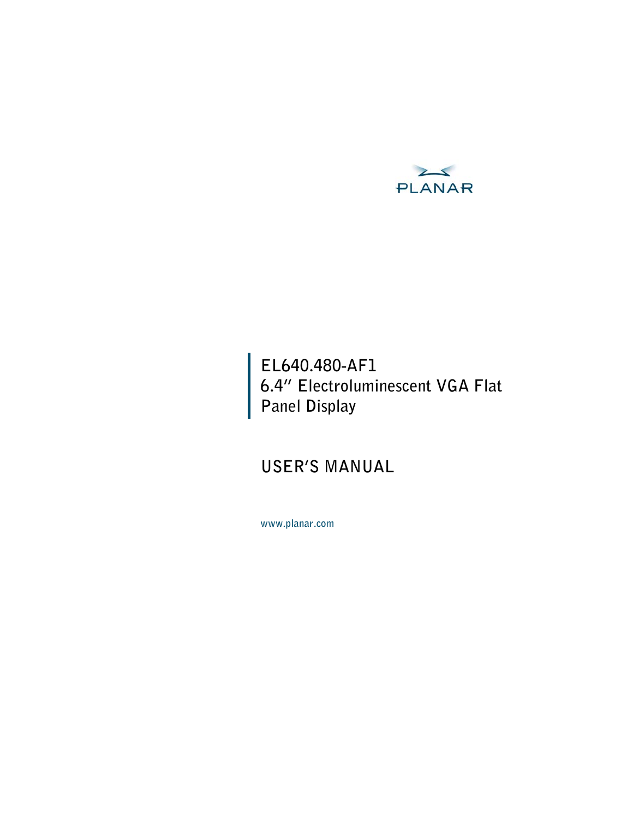

# **EL640.480-AF1 6.4" Electroluminescent VGA Flat Panel Display**

# **USER'S MANUAL**

**www.planar.com**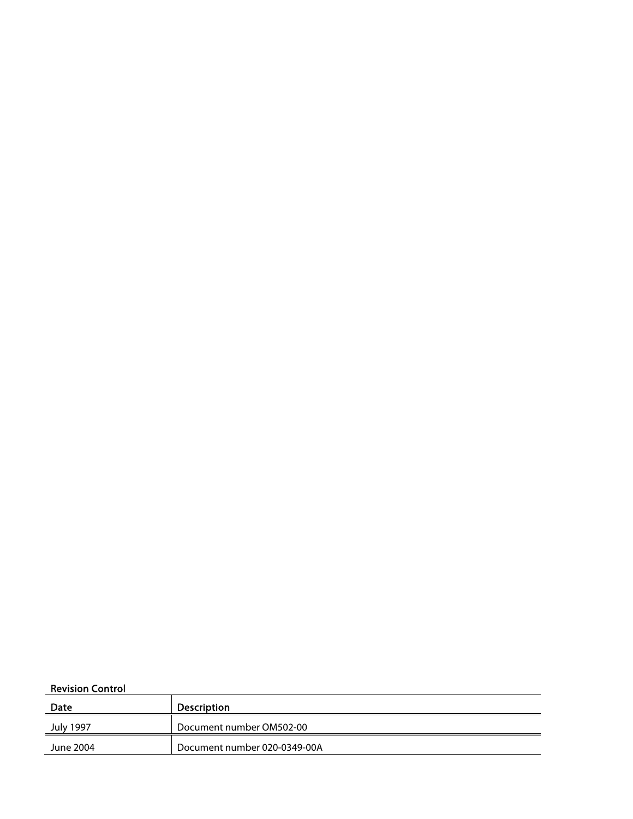#### Revision Control

| Date      | <b>Description</b>           |
|-----------|------------------------------|
| July 1997 | Document number OM502-00     |
| June 2004 | Document number 020-0349-00A |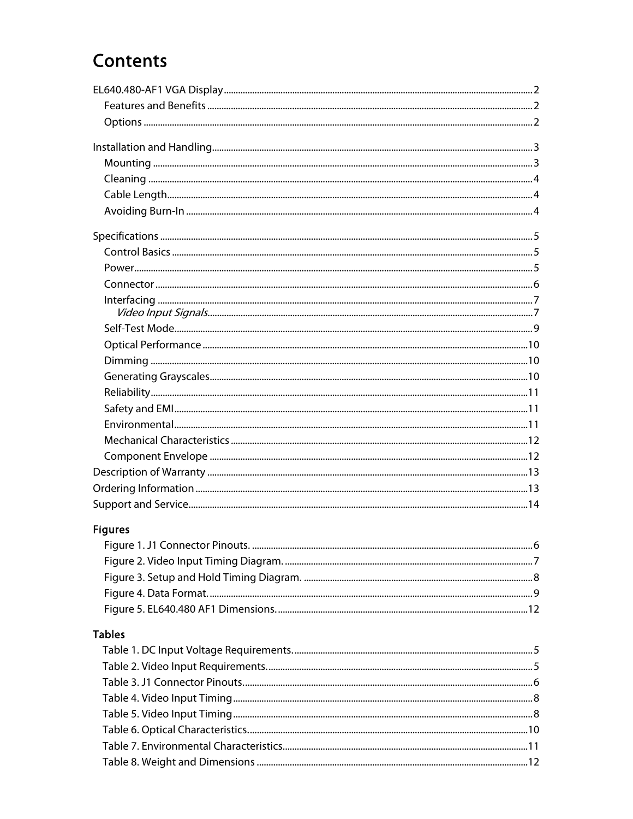# Contents

| <b>Figures</b> |  |
|----------------|--|
|                |  |
|                |  |
|                |  |
|                |  |
|                |  |
| <b>Tables</b>  |  |
|                |  |
|                |  |
|                |  |
|                |  |
|                |  |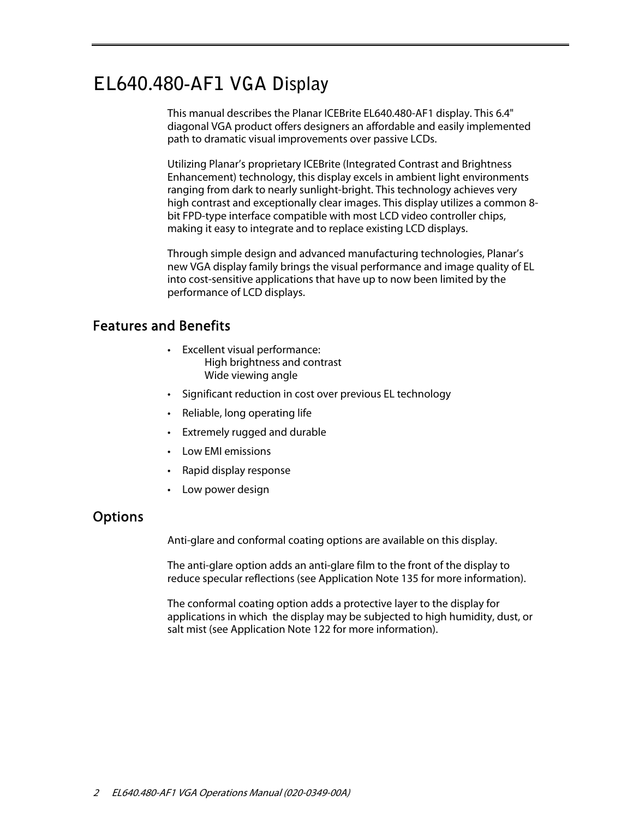# **EL640.480-AF1 VGA Display**

This manual describes the Planar ICEBrite EL640.480-AF1 display. This 6.4" diagonal VGA product offers designers an affordable and easily implemented path to dramatic visual improvements over passive LCDs.

Utilizing Planar's proprietary ICEBrite (Integrated Contrast and Brightness Enhancement) technology, this display excels in ambient light environments ranging from dark to nearly sunlight-bright. This technology achieves very high contrast and exceptionally clear images. This display utilizes a common 8 bit FPD-type interface compatible with most LCD video controller chips, making it easy to integrate and to replace existing LCD displays.

Through simple design and advanced manufacturing technologies, Planar's new VGA display family brings the visual performance and image quality of EL into cost-sensitive applications that have up to now been limited by the performance of LCD displays.

## Features and Benefits

- Excellent visual performance: High brightness and contrast Wide viewing angle
- Significant reduction in cost over previous EL technology
- Reliable, long operating life
- Extremely rugged and durable
- Low EMI emissions
- Rapid display response
- Low power design

## **Options**

Anti-glare and conformal coating options are available on this display.

The anti-glare option adds an anti-glare film to the front of the display to reduce specular reflections (see Application Note 135 for more information).

The conformal coating option adds a protective layer to the display for applications in which the display may be subjected to high humidity, dust, or salt mist (see Application Note 122 for more information).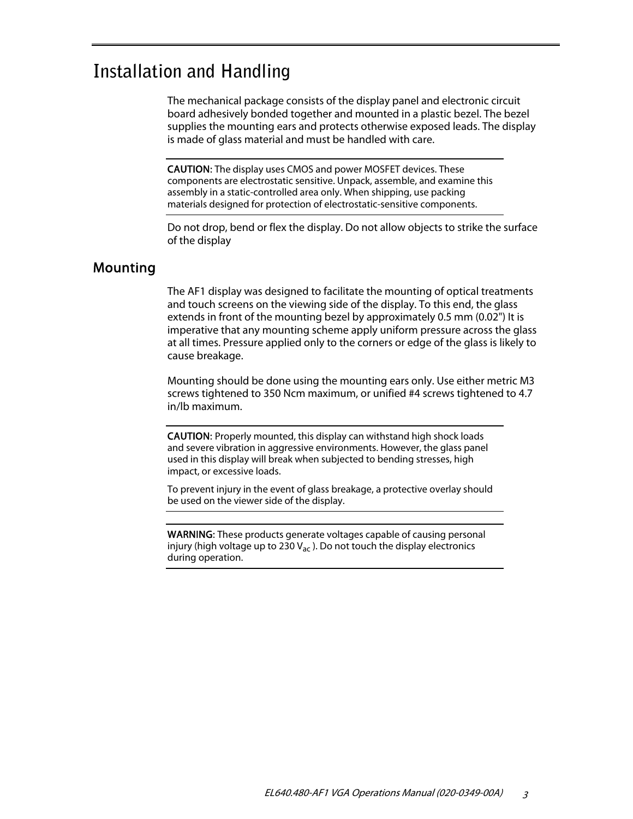# **Installation and Handling**

The mechanical package consists of the display panel and electronic circuit board adhesively bonded together and mounted in a plastic bezel. The bezel supplies the mounting ears and protects otherwise exposed leads. The display is made of glass material and must be handled with care.

CAUTION: The display uses CMOS and power MOSFET devices. These components are electrostatic sensitive. Unpack, assemble, and examine this assembly in a static-controlled area only. When shipping, use packing materials designed for protection of electrostatic-sensitive components.

Do not drop, bend or flex the display. Do not allow objects to strike the surface of the display

### Mounting

The AF1 display was designed to facilitate the mounting of optical treatments and touch screens on the viewing side of the display. To this end, the glass extends in front of the mounting bezel by approximately 0.5 mm (0.02") It is imperative that any mounting scheme apply uniform pressure across the glass at all times. Pressure applied only to the corners or edge of the glass is likely to cause breakage.

Mounting should be done using the mounting ears only. Use either metric M3 screws tightened to 350 Ncm maximum, or unified #4 screws tightened to 4.7 in/lb maximum.

CAUTION: Properly mounted, this display can withstand high shock loads and severe vibration in aggressive environments. However, the glass panel used in this display will break when subjected to bending stresses, high impact, or excessive loads.

To prevent injury in the event of glass breakage, a protective overlay should be used on the viewer side of the display.

WARNING: These products generate voltages capable of causing personal injury (high voltage up to 230  $V_{ac}$ ). Do not touch the display electronics during operation.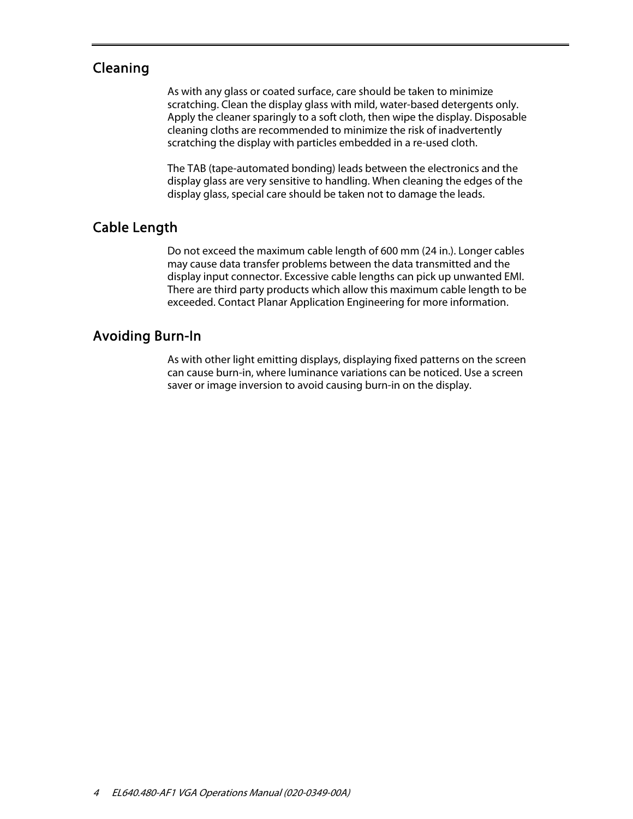## Cleaning

As with any glass or coated surface, care should be taken to minimize scratching. Clean the display glass with mild, water-based detergents only. Apply the cleaner sparingly to a soft cloth, then wipe the display. Disposable cleaning cloths are recommended to minimize the risk of inadvertently scratching the display with particles embedded in a re-used cloth.

The TAB (tape-automated bonding) leads between the electronics and the display glass are very sensitive to handling. When cleaning the edges of the display glass, special care should be taken not to damage the leads.

## Cable Length

Do not exceed the maximum cable length of 600 mm (24 in.). Longer cables may cause data transfer problems between the data transmitted and the display input connector. Excessive cable lengths can pick up unwanted EMI. There are third party products which allow this maximum cable length to be exceeded. Contact Planar Application Engineering for more information.

## Avoiding Burn-In

As with other light emitting displays, displaying fixed patterns on the screen can cause burn-in, where luminance variations can be noticed. Use a screen saver or image inversion to avoid causing burn-in on the display.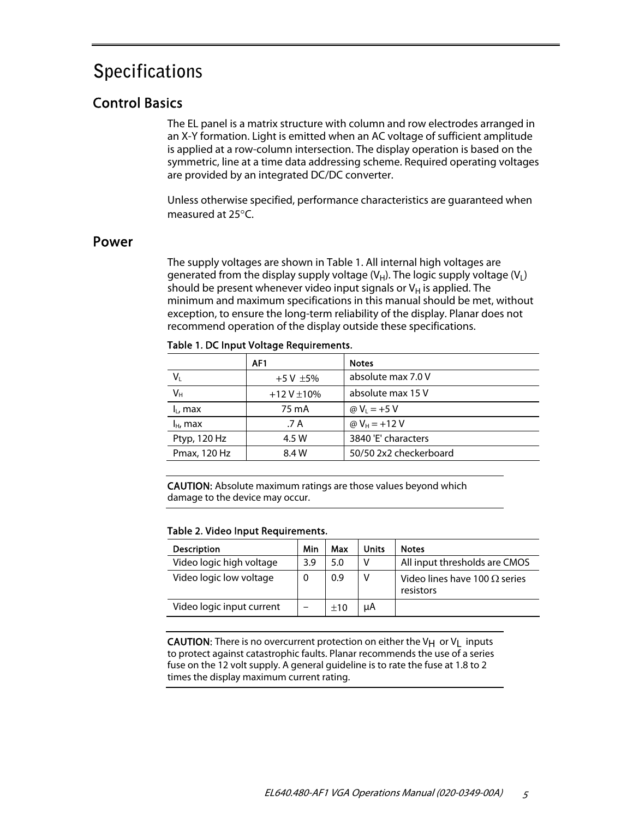# **Specifications**

# Control Basics

The EL panel is a matrix structure with column and row electrodes arranged in an X-Y formation. Light is emitted when an AC voltage of sufficient amplitude is applied at a row-column intersection. The display operation is based on the symmetric, line at a time data addressing scheme. Required operating voltages are provided by an integrated DC/DC converter.

Unless otherwise specified, performance characteristics are guaranteed when measured at  $25^{\circ}$ C.

### Power

The supply voltages are shown in Table 1. All internal high voltages are generated from the display supply voltage  $(V_H)$ . The logic supply voltage  $(V_L)$ should be present whenever video input signals or  $V_H$  is applied. The minimum and maximum specifications in this manual should be met, without exception, to ensure the long-term reliability of the display. Planar does not recommend operation of the display outside these specifications.

|               | AF <sub>1</sub> | <b>Notes</b>           |
|---------------|-----------------|------------------------|
| $V_{L}$       | $+5V \pm 5%$    | absolute max 7.0 V     |
| $V_{H}$       | $+12V \pm 10%$  | absolute max 15 V      |
| $I_L$ , max   | 75 mA           | @ $V_1 = +5 V$         |
| $I_{H}$ , max | .7 A            | @ $V_H$ = +12 V        |
| Ptyp, 120 Hz  | 4.5 W           | 3840 'E' characters    |
| Pmax, 120 Hz  | 8.4 W           | 50/50 2x2 checkerboard |
|               |                 |                        |

Table 1. DC Input Voltage Requirements.

CAUTION: Absolute maximum ratings are those values beyond which damage to the device may occur.

#### Table 2. Video Input Requirements.

| <b>Description</b>        | Min | Max | <b>Units</b> | <b>Notes</b>                                      |
|---------------------------|-----|-----|--------------|---------------------------------------------------|
| Video logic high voltage  | 3.9 | 5.0 | ٧            | All input thresholds are CMOS                     |
| Video logic low voltage   | 0   | 0.9 | ٧            | Video lines have 100 $\Omega$ series<br>resistors |
| Video logic input current |     | ±10 | μA           |                                                   |

**CAUTION:** There is no overcurrent protection on either the V $H$  or V<sub>L</sub> inputs to protect against catastrophic faults. Planar recommends the use of a series fuse on the 12 volt supply. A general guideline is to rate the fuse at 1.8 to 2 times the display maximum current rating.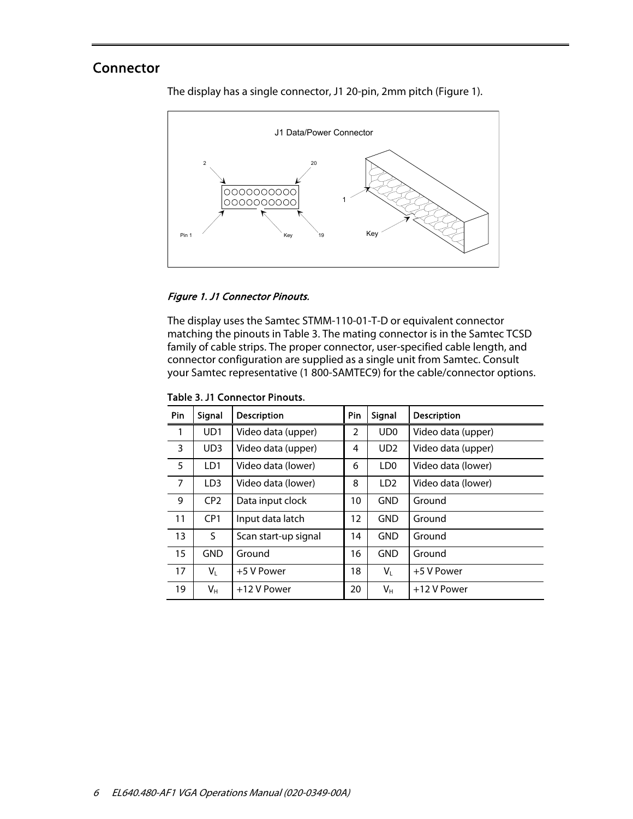## Connector

The display has a single connector, J1 20-pin, 2mm pitch (Figure 1).



#### Figure 1. J1 Connector Pinouts.

The display uses the Samtec STMM-110-01-T-D or equivalent connector matching the pinouts in Table 3. The mating connector is in the Samtec TCSD family of cable strips. The proper connector, user-specified cable length, and connector configuration are supplied as a single unit from Samtec. Consult your Samtec representative (1 800-SAMTEC9) for the cable/connector options.

| Pin            | Signal          | Description          | Pin            | Signal          | <b>Description</b> |
|----------------|-----------------|----------------------|----------------|-----------------|--------------------|
| 1              | UD <sub>1</sub> | Video data (upper)   | $\overline{2}$ | UD <sub>0</sub> | Video data (upper) |
| 3              | UD <sub>3</sub> | Video data (upper)   | 4              | UD <sub>2</sub> | Video data (upper) |
| 5              | LD1             | Video data (lower)   | 6              | LD <sub>0</sub> | Video data (lower) |
| $\overline{7}$ | LD <sub>3</sub> | Video data (lower)   | 8              | LD <sub>2</sub> | Video data (lower) |
| 9              | CP <sub>2</sub> | Data input clock     | 10             | <b>GND</b>      | Ground             |
| 11             | CP <sub>1</sub> | Input data latch     | 12             | <b>GND</b>      | Ground             |
| 13             | S.              | Scan start-up signal | 14             | <b>GND</b>      | Ground             |
| 15             | <b>GND</b>      | Ground               | 16             | <b>GND</b>      | Ground             |
| 17             | V∟              | +5 V Power           | 18             | $V_{L}$         | +5 V Power         |
| 19             | $V_{H}$         | +12 V Power          | 20             | Vн              | +12 V Power        |

Table 3. J1 Connector Pinouts.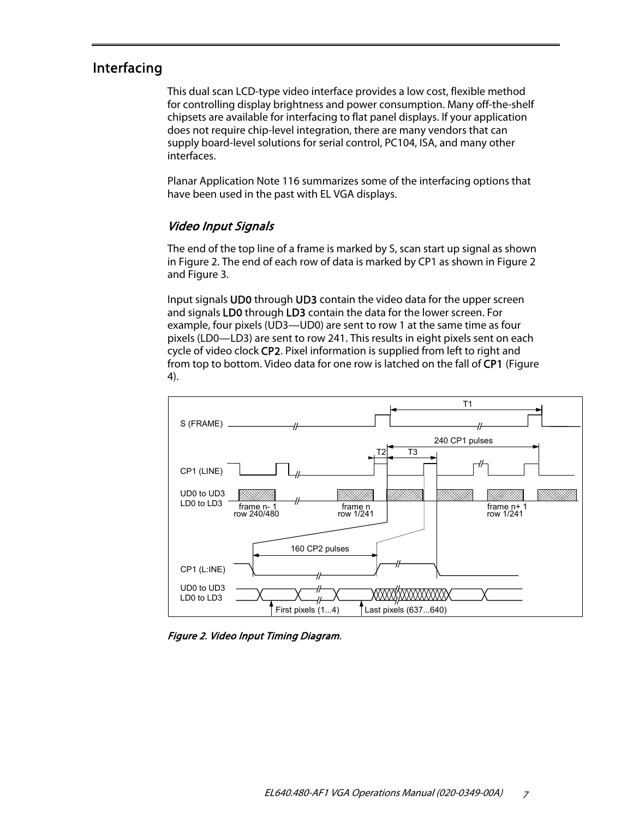### Interfacing

This dual scan LCD-type video interface provides a low cost, flexible method for controlling display brightness and power consumption. Many off-the-shelf chipsets are available for interfacing to flat panel displays. If your application does not require chip-level integration, there are many vendors that can supply board-level solutions for serial control, PC104, ISA, and many other interfaces.

Planar Application Note 116 summarizes some of the interfacing options that have been used in the past with EL VGA displays.

### Video Input Signals

The end of the top line of a frame is marked by S, scan start up signal as shown in Figure 2. The end of each row of data is marked by CP1 as shown in Figure 2 and Figure 3.

Input signals UD0 through UD3 contain the video data for the upper screen and signals LD0 through LD3 contain the data for the lower screen. For example, four pixels (UD3—UD0) are sent to row 1 at the same time as four pixels (LD0—LD3) are sent to row 241. This results in eight pixels sent on each cycle of video clock CP2. Pixel information is supplied from left to right and from top to bottom. Video data for one row is latched on the fall of CP1 (Figure 4).



Figure 2. Video Input Timing Diagram.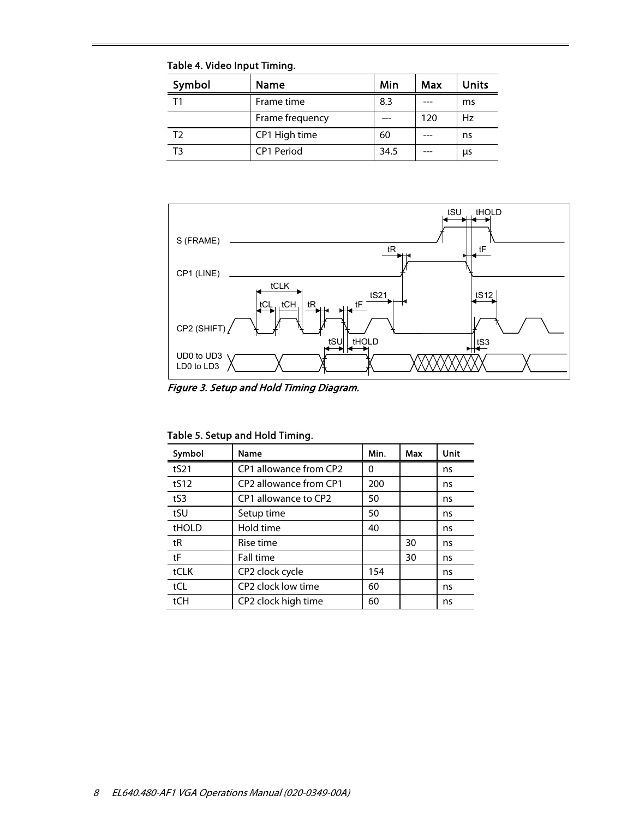Table 4. Video Input Timing.

| Symbol | Name              | Min  | Max | <b>Units</b> |
|--------|-------------------|------|-----|--------------|
| Т1     | Frame time        | 8.3  |     | ms           |
|        | Frame frequency   |      | 120 | Hz           |
| T2     | CP1 High time     | 60   |     | ns           |
| Тጓ     | <b>CP1 Period</b> | 34.5 |     | μs           |



Figure 3. Setup and Hold Timing Diagram.

|  |  | Table 5. Setup and Hold Timing. |  |
|--|--|---------------------------------|--|
|--|--|---------------------------------|--|

| Symbol | Name                                           | Min. | Max | Unit |
|--------|------------------------------------------------|------|-----|------|
| tS21   | CP1 allowance from CP2                         | 0    |     | ns   |
| tS12   | CP <sub>2</sub> allowance from CP <sub>1</sub> | 200  |     | ns   |
| tS3    | CP1 allowance to CP2                           | 50   |     | ns   |
| tSU    | Setup time                                     | 50   |     | ns   |
| tHOLD  | Hold time                                      | 40   |     | ns   |
| tR     | Rise time                                      |      | 30  | ns   |
| tF     | Fall time                                      |      | 30  | ns   |
| tCLK   | CP2 clock cycle                                | 154  |     | ns   |
| tCL    | CP2 clock low time                             | 60   |     | ns   |
| tCH    | CP2 clock high time                            | 60   |     | ns   |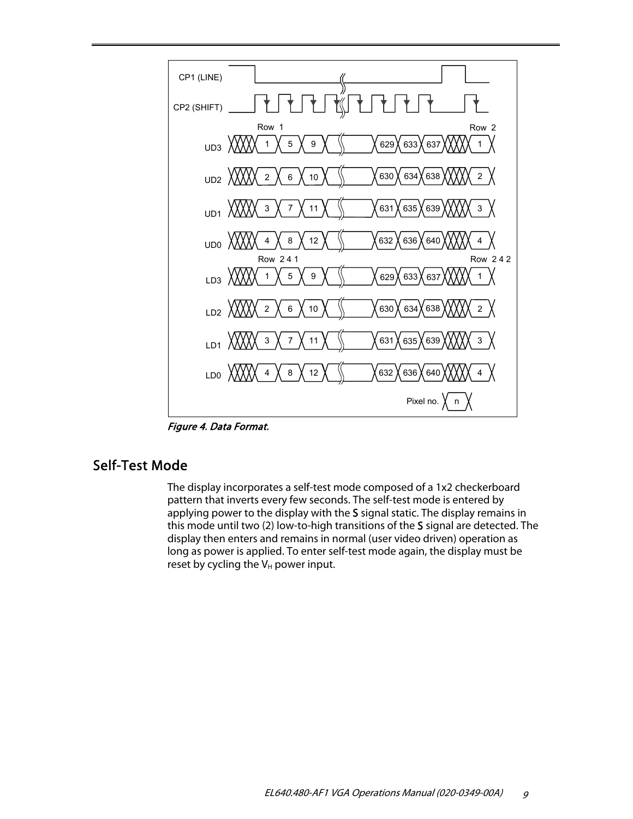

Figure 4. Data Format.

### Self-Test Mode

The display incorporates a self-test mode composed of a 1x2 checkerboard pattern that inverts every few seconds. The self-test mode is entered by applying power to the display with the S signal static. The display remains in this mode until two (2) low-to-high transitions of the S signal are detected. The display then enters and remains in normal (user video driven) operation as long as power is applied. To enter self-test mode again, the display must be reset by cycling the  $V_H$  power input.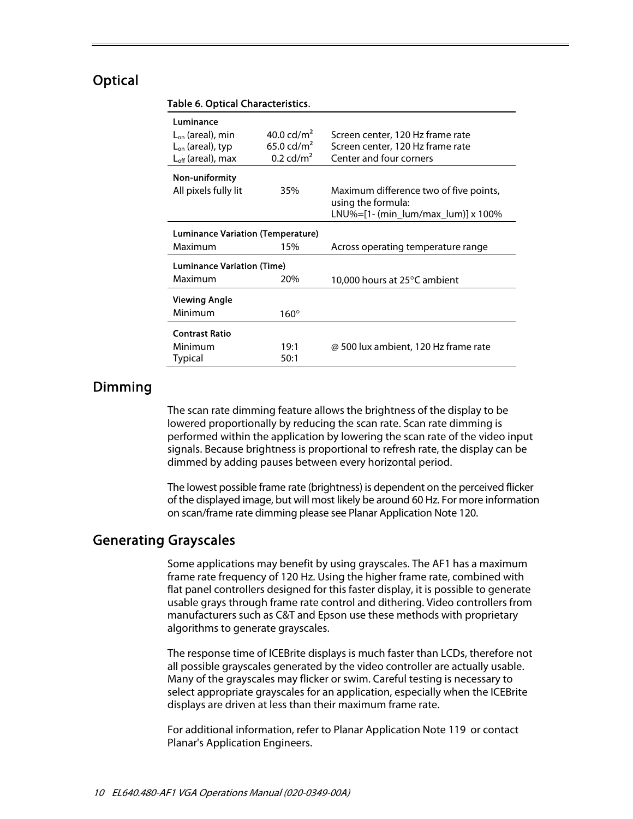### **Optical**

| Luminance                         |                         |                                                              |
|-----------------------------------|-------------------------|--------------------------------------------------------------|
| $L_{on}$ (areal), min             | 40.0 $\frac{c}{m^2}$    | Screen center, 120 Hz frame rate                             |
| $L_{on}$ (areal), typ             | 65.0 cd/m <sup>2</sup>  | Screen center, 120 Hz frame rate                             |
| $L_{\text{off}}$ (areal), max     | $0.2$ cd/m <sup>2</sup> | Center and four corners                                      |
| Non-uniformity                    |                         |                                                              |
| All pixels fully lit              | 35%                     | Maximum difference two of five points,<br>using the formula: |
|                                   |                         | LNU%= $[1-(min \, lum/max \, lum)] \times 100\%$             |
| Luminance Variation (Temperature) |                         |                                                              |
| Maximum                           | 15%                     | Across operating temperature range                           |
| <b>Luminance Variation (Time)</b> |                         |                                                              |
| Maximum                           | 20%                     | 10,000 hours at 25°C ambient                                 |
| <b>Viewing Angle</b>              |                         |                                                              |
| Minimum                           | $160^\circ$             |                                                              |
| <b>Contrast Ratio</b>             |                         |                                                              |
| Minimum                           | 19:1                    | @ 500 lux ambient, 120 Hz frame rate                         |
| Typical                           |                         |                                                              |

#### Table 6. Optical Characteristics.

### Dimming

The scan rate dimming feature allows the brightness of the display to be lowered proportionally by reducing the scan rate. Scan rate dimming is performed within the application by lowering the scan rate of the video input signals. Because brightness is proportional to refresh rate, the display can be dimmed by adding pauses between every horizontal period.

The lowest possible frame rate (brightness) is dependent on the perceived flicker of the displayed image, but will most likely be around 60 Hz. For more information on scan/frame rate dimming please see Planar Application Note 120.

### Generating Grayscales

Some applications may benefit by using grayscales. The AF1 has a maximum frame rate frequency of 120 Hz. Using the higher frame rate, combined with flat panel controllers designed for this faster display, it is possible to generate usable grays through frame rate control and dithering. Video controllers from manufacturers such as C&T and Epson use these methods with proprietary algorithms to generate grayscales.

The response time of ICEBrite displays is much faster than LCDs, therefore not all possible grayscales generated by the video controller are actually usable. Many of the grayscales may flicker or swim. Careful testing is necessary to select appropriate grayscales for an application, especially when the ICEBrite displays are driven at less than their maximum frame rate.

For additional information, refer to Planar Application Note 119 or contact Planar's Application Engineers.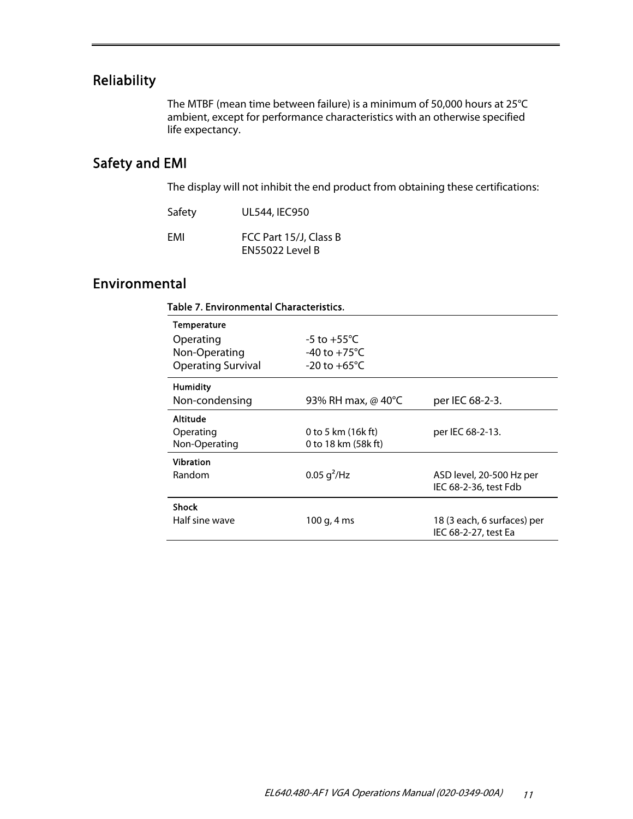# Reliability

The MTBF (mean time between failure) is a minimum of 50,000 hours at 25°C ambient, except for performance characteristics with an otherwise specified life expectancy.

# Safety and EMI

The display will not inhibit the end product from obtaining these certifications:

| Safety | UL544, IEC950                             |
|--------|-------------------------------------------|
| EMI    | FCC Part 15/J, Class B<br>EN55022 Level B |

## Environmental

| Table 7. Environmental Characteristics. |                          |                             |
|-----------------------------------------|--------------------------|-----------------------------|
| <b>Temperature</b>                      |                          |                             |
| Operating                               | -5 to +55 $^{\circ}$ C   |                             |
| Non-Operating                           | $-40$ to $+75^{\circ}$ C |                             |
| <b>Operating Survival</b>               | $-20$ to $+65^{\circ}$ C |                             |
| <b>Humidity</b>                         |                          |                             |
| Non-condensing                          | 93% RH max, @ 40°C       | per IEC 68-2-3.             |
| <b>Altitude</b>                         |                          |                             |
| Operating                               | 0 to 5 km $(16k ft)$     | per IEC 68-2-13.            |
| Non-Operating                           | 0 to 18 km (58k ft)      |                             |
| <b>Vibration</b>                        |                          |                             |
| Random                                  | 0.05 g <sup>2</sup> /Hz  | ASD level, 20-500 Hz per    |
|                                         |                          | IEC 68-2-36, test Fdb       |
| <b>Shock</b>                            |                          |                             |
| Half sine wave                          | 100 g, 4 ms              | 18 (3 each, 6 surfaces) per |
|                                         |                          | IEC 68-2-27, test Ea        |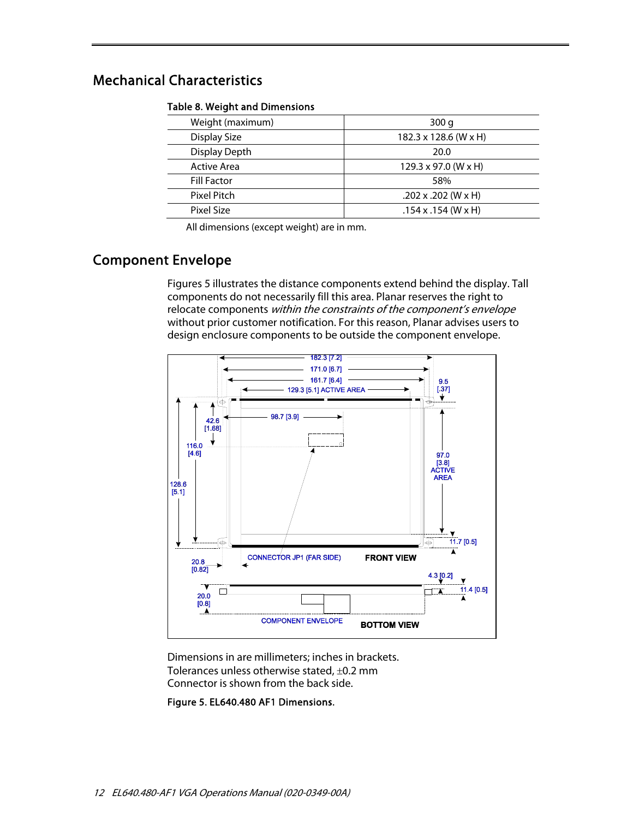# Mechanical Characteristics

#### Table 8. Weight and Dimensions

| Weight (maximum)   | 300q                               |
|--------------------|------------------------------------|
| Display Size       | 182.3 x 128.6 (W x H)              |
| Display Depth      | 20.0                               |
| <b>Active Area</b> | $129.3 \times 97.0$ (W $\times$ H) |
| <b>Fill Factor</b> | 58%                                |
| Pixel Pitch        | (W x H) 202 x .202                 |
| Pixel Size         | $.154$ x $.154$ (W x H)            |

All dimensions (except weight) are in mm.

# Component Envelope

Figures 5 illustrates the distance components extend behind the display. Tall components do not necessarily fill this area. Planar reserves the right to relocate components within the constraints of the component's envelope without prior customer notification. For this reason, Planar advises users to design enclosure components to be outside the component envelope.



Dimensions in are millimeters; inches in brackets. Tolerances unless otherwise stated,  $\pm$ 0.2 mm Connector is shown from the back side.

Figure 5. EL640.480 AF1 Dimensions.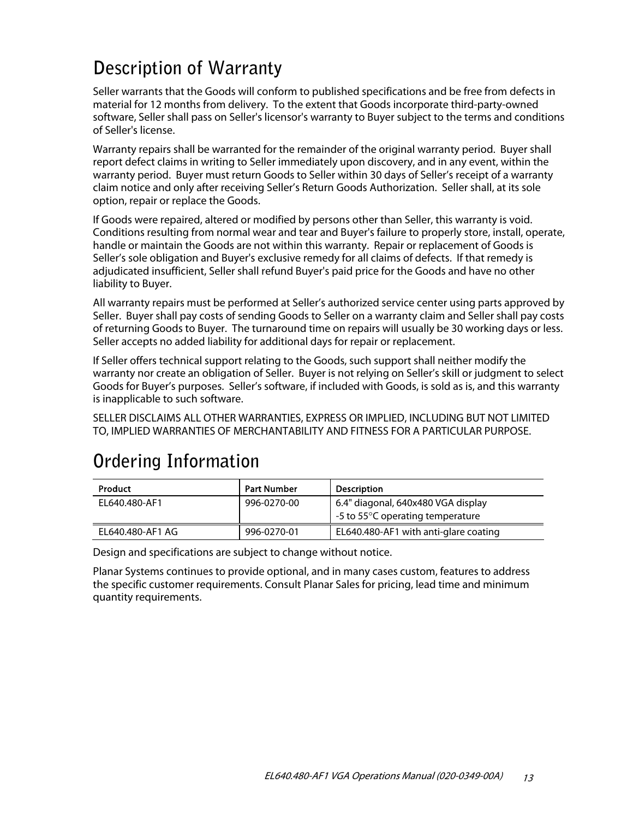# **Description of Warranty**

Seller warrants that the Goods will conform to published specifications and be free from defects in material for 12 months from delivery. To the extent that Goods incorporate third-party-owned software, Seller shall pass on Seller's licensor's warranty to Buyer subject to the terms and conditions of Seller's license.

Warranty repairs shall be warranted for the remainder of the original warranty period. Buyer shall report defect claims in writing to Seller immediately upon discovery, and in any event, within the warranty period. Buyer must return Goods to Seller within 30 days of Seller's receipt of a warranty claim notice and only after receiving Seller's Return Goods Authorization. Seller shall, at its sole option, repair or replace the Goods.

If Goods were repaired, altered or modified by persons other than Seller, this warranty is void. Conditions resulting from normal wear and tear and Buyer's failure to properly store, install, operate, handle or maintain the Goods are not within this warranty. Repair or replacement of Goods is Seller's sole obligation and Buyer's exclusive remedy for all claims of defects. If that remedy is adjudicated insufficient, Seller shall refund Buyer's paid price for the Goods and have no other liability to Buyer.

All warranty repairs must be performed at Seller's authorized service center using parts approved by Seller. Buyer shall pay costs of sending Goods to Seller on a warranty claim and Seller shall pay costs of returning Goods to Buyer. The turnaround time on repairs will usually be 30 working days or less. Seller accepts no added liability for additional days for repair or replacement.

If Seller offers technical support relating to the Goods, such support shall neither modify the warranty nor create an obligation of Seller. Buyer is not relying on Seller's skill or judgment to select Goods for Buyer's purposes. Seller's software, if included with Goods, is sold as is, and this warranty is inapplicable to such software.

SELLER DISCLAIMS ALL OTHER WARRANTIES, EXPRESS OR IMPLIED, INCLUDING BUT NOT LIMITED TO, IMPLIED WARRANTIES OF MERCHANTABILITY AND FITNESS FOR A PARTICULAR PURPOSE.

# **Ordering Information**

| <b>Product</b>   | <b>Part Number</b> | <b>Description</b>                                                     |
|------------------|--------------------|------------------------------------------------------------------------|
| EL640.480-AF1    | 996-0270-00        | 6.4" diagonal, 640x480 VGA display<br>-5 to 55°C operating temperature |
| EL640.480-AF1 AG | 996-0270-01        | EL640.480-AF1 with anti-glare coating                                  |

Design and specifications are subject to change without notice.

Planar Systems continues to provide optional, and in many cases custom, features to address the specific customer requirements. Consult Planar Sales for pricing, lead time and minimum quantity requirements.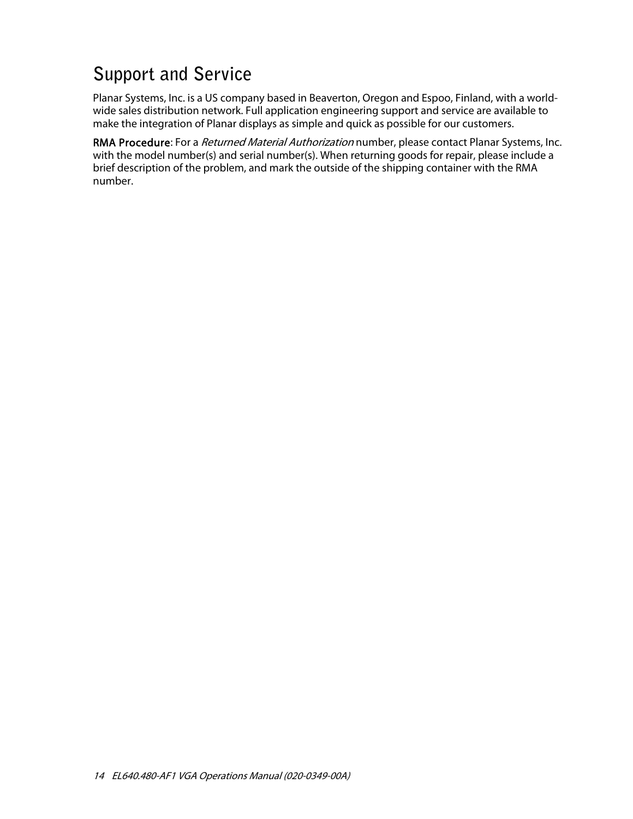# **Support and Service**

Planar Systems, Inc. is a US company based in Beaverton, Oregon and Espoo, Finland, with a worldwide sales distribution network. Full application engineering support and service are available to make the integration of Planar displays as simple and quick as possible for our customers.

RMA Procedure: For a *Returned Material Authorization* number, please contact Planar Systems, Inc. with the model number(s) and serial number(s). When returning goods for repair, please include a brief description of the problem, and mark the outside of the shipping container with the RMA number.